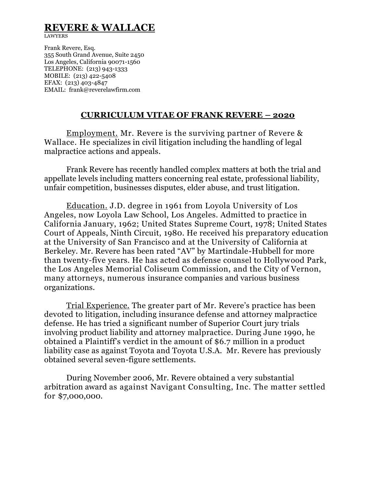# **REVERE & WALLACE**

LAWYERS

Frank Revere, Esq. 355 South Grand Avenue, Suite 2450 Los Angeles, California 90071-1560 TELEPHONE: (213) 943-1333 MOBILE: (213) 422-5408 EFAX: (213) 403-4847 EMAIL: frank@reverelawfirm.com

#### **CURRICULUM VITAE OF FRANK REVERE – 2020**

Employment. Mr. Revere is the surviving partner of Revere & Wallace. He specializes in civil litigation including the handling of legal malpractice actions and appeals.

 Frank Revere has recently handled complex matters at both the trial and appellate levels including matters concerning real estate, professional liability, unfair competition, businesses disputes, elder abuse, and trust litigation.

Education. J.D. degree in 1961 from Loyola University of Los Angeles, now Loyola Law School, Los Angeles. Admitted to practice in California January, 1962; United States Supreme Court, 1978; United States Court of Appeals, Ninth Circuit, 1980. He received his preparatory education at the University of San Francisco and at the University of California at Berkeley. Mr. Revere has been rated "AV" by Martindale-Hubbell for more than twenty-five years. He has acted as defense counsel to Hollywood Park, the Los Angeles Memorial Coliseum Commission, and the City of Vernon, many attorneys, numerous insurance companies and various business organizations.

Trial Experience. The greater part of Mr. Revere's practice has been devoted to litigation, including insurance defense and attorney malpractice defense. He has tried a significant number of Superior Court jury trials involving product liability and attorney malpractice. During June 1990, he obtained a Plaintiff's verdict in the amount of \$6.7 million in a product liability case as against Toyota and Toyota U.S.A. Mr. Revere has previously obtained several seven-figure settlements.

During November 2006, Mr. Revere obtained a very substantial arbitration award as against Navigant Consulting, Inc. The matter settled for \$7,000,000.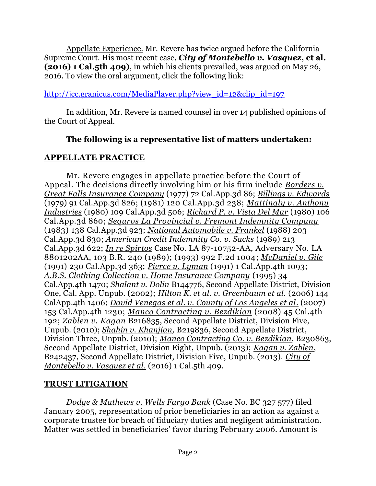Appellate Experience. Mr. Revere has twice argued before the California Supreme Court. His most recent case, *City of Montebello v. Vasquez***, et al. (2016) 1 Cal.5th 409)**, in which his clients prevailed, was argued on May 26, 2016. To view the oral argument, click the following link:

## [http://jcc.granicus.com/MediaPlayer.php?view\\_id=12&clip\\_id=197](http://jcc.granicus.com/MediaPlayer.php?view_id=12&clip_id=197)

In addition, Mr. Revere is named counsel in over 14 published opinions of the Court of Appeal.

## **The following is a representative list of matters undertaken:**

### **APPELLATE PRACTICE**

Mr. Revere engages in appellate practice before the Court of Appeal. The decisions directly involving him or his firm include *Borders v. Great Falls Insurance Company* (1977) 72 Cal.App.3d 86; *Billings v. Edwards* (1979) 91 Cal.App.3d 826; (1981) 120 Cal.App.3d 238; *Mattingly v. Anthony Industries* (1980) 109 Cal.App.3d 506; *Richard P. v. Vista Del Mar* (1980) 106 Cal.App.3d 860; *Sequros La Provincial v. Fremont Indemnity Company* (1983) 138 Cal.App.3d 923; *National Automobile v. Frankel* (1988) 203 Cal.App.3d 830; *American Credit Indemnity Co. v. Sacks* (1989) 213 Cal.App.3d 622; *In re Spirtos* Case No. LA 87-10752-AA, Adversary No. LA 8801202AA, 103 B.R. 240 (1989); (1993) 992 F.2d 1004; *McDaniel v. Gile* (1991) 230 Cal.App.3d 363; *Pierce v. Lyman* (1991) 1 Cal.App.4th 1093; *A.B.S. Clothing Collection v. Home Insurance Company* (1995) 34 Cal.App.4th 1470; *Shalant v. Dolin* B144776, Second Appellate District, Division One, Cal. App. Unpub. (2002); *Hilton K. et al. v. Greenbaum et al.* (2006) 144 CalApp.4th 1406; *David Venegas et al. v. County of Los Angeles et al*. (2007) 153 Cal.App.4th 1230; *Manco Contracting v. Bezdikian* (2008) 45 Cal.4th 192; *Zablen v. Kagan* B216835, Second Appellate District, Division Five, Unpub. (2010); *Shahin v. Khanjian,* B219836, Second Appellate District, Division Three, Unpub. (2010); *Manco Contracting Co. v. Bezdikian*, B230863, Second Appellate District, Division Eight, Unpub. (2013); *Kagan v. Zablen*, B242437, Second Appellate District, Division Five, Unpub. (2013). *City of Montebello v. Vasquez et al*. (2016) 1 Cal.5th 409.

## **TRUST LITIGATION**

*Dodge & Mathews v. Wells Fargo Bank* (Case No. BC 327 577) filed January 2005, representation of prior beneficiaries in an action as against a corporate trustee for breach of fiduciary duties and negligent administration. Matter was settled in beneficiaries' favor during February 2006. Amount is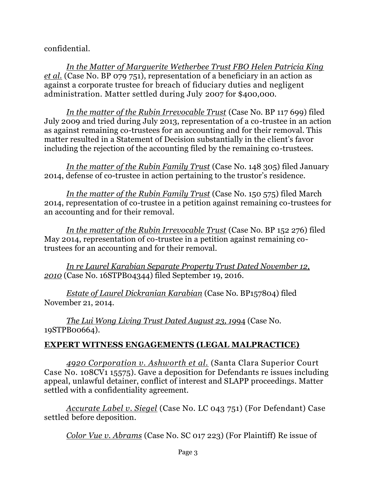confidential.

*In the Matter of Marguerite Wetherbee Trust FBO Helen Patricia King et al.* (Case No. BP 079 751), representation of a beneficiary in an action as against a corporate trustee for breach of fiduciary duties and negligent administration. Matter settled during July 2007 for \$400,000.

*In the matter of the Rubin Irrevocable Trust* (Case No. BP 117 699) filed July 2009 and tried during July 2013, representation of a co-trustee in an action as against remaining co-trustees for an accounting and for their removal. This matter resulted in a Statement of Decision substantially in the client's favor including the rejection of the accounting filed by the remaining co-trustees.

*In the matter of the Rubin Family Trust* (Case No. 148 305) filed January 2014, defense of co-trustee in action pertaining to the trustor's residence.

*In the matter of the Rubin Family Trust* (Case No. 150 575) filed March 2014, representation of co-trustee in a petition against remaining co-trustees for an accounting and for their removal.

*In the matter of the Rubin Irrevocable Trust* (Case No. BP 152 276) filed May 2014, representation of co-trustee in a petition against remaining cotrustees for an accounting and for their removal.

*In re Laurel Karabian Separate Property Trust Dated November 12, 2010* (Case No. 16STPB04344) filed September 19, 2016.

*Estate of Laurel Dickranian Karabian* (Case No. BP157804) filed November 21, 2014.

*The Lui Wong Living Trust Dated August 23, 19*94 (Case No. 19STPB00664).

# **EXPERT WITNESS ENGAGEMENTS (LEGAL MALPRACTICE)**

*4920 Corporation v. Ashworth et al.* (Santa Clara Superior Court Case No. 108CV1 15575). Gave a deposition for Defendants re issues including appeal, unlawful detainer, conflict of interest and SLAPP proceedings. Matter settled with a confidentiality agreement.

*Accurate Label v. Siegel* (Case No. LC 043 751) (For Defendant) Case settled before deposition.

*Color Vue v. Abrams* (Case No. SC 017 223) (For Plaintiff) Re issue of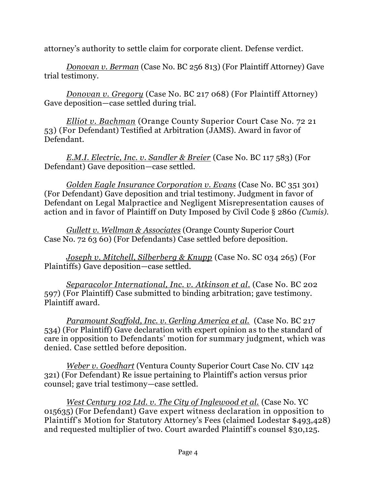attorney's authority to settle claim for corporate client. Defense verdict.

*Donovan v. Berman* (Case No. BC 256 813) (For Plaintiff Attorney) Gave trial testimony.

*Donovan v. Gregory* (Case No. BC 217 068) (For Plaintiff Attorney) Gave deposition—case settled during trial.

*Elliot v. Bachman* (Orange County Superior Court Case No. 72 21 53) (For Defendant) Testified at Arbitration (JAMS). Award in favor of Defendant.

*E.M.I. Electric, Inc. v. Sandler & Breier* (Case No. BC 117 583) (For Defendant) Gave deposition—case settled.

*Golden Eagle Insurance Corporation v. Evans* (Case No. BC 351 301) (For Defendant) Gave deposition and trial testimony. Judgment in favor of Defendant on Legal Malpractice and Negligent Misrepresentation causes of action and in favor of Plaintiff on Duty Imposed by Civil Code § 2860 *(Cumis).*

*Gullett v. Wellman & Associates* (Orange County Superior Court Case No. 72 63 60) (For Defendants) Case settled before deposition.

*Joseph v. Mitchell, Silberberg & Knupp* (Case No. SC 034 265) (For Plaintiffs) Gave deposition—case settled.

*Separacolor International, Inc. v. Atkinson et al*. (Case No. BC 202 597) (For Plaintiff) Case submitted to binding arbitration; gave testimony. Plaintiff award.

*Paramount Scaffold, Inc. v. Gerling America et al.* (Case No. BC 217 534) (For Plaintiff) Gave declaration with expert opinion as to the standard of care in opposition to Defendants' motion for summary judgment, which was denied. Case settled before deposition.

*Weber v. Goedhart* (Ventura County Superior Court Case No. CIV 142 321) (For Defendant) Re issue pertaining to Plaintiff's action versus prior counsel; gave trial testimony—case settled.

*West Century 102 Ltd. v. The City of Inglewood et al.* (Case No. YC 015635) (For Defendant) Gave expert witness declaration in opposition to Plaintiff's Motion for Statutory Attorney's Fees (claimed Lodestar \$493,428) and requested multiplier of two. Court awarded Plaintiff's counsel \$30,125.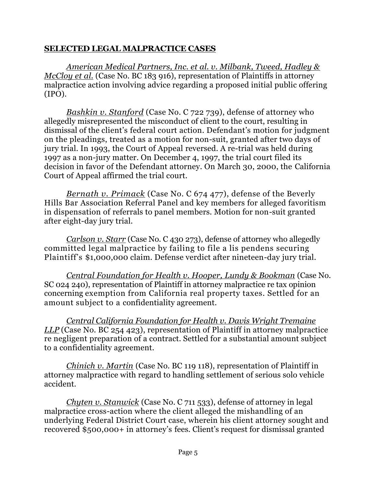### **SELECTED LEGAL MALPRACTICE CASES**

*American Medical Partners, Inc. et al. v. Milbank, Tweed, Hadley & McCloy et al.* (Case No. BC 183 916), representation of Plaintiffs in attorney malpractice action involving advice regarding a proposed initial public offering (IPO).

*Bashkin v. Stanford* (Case No. C 722 739), defense of attorney who allegedly misrepresented the misconduct of client to the court, resulting in dismissal of the client's federal court action. Defendant's motion for judgment on the pleadings, treated as a motion for non-suit, granted after two days of jury trial. In 1993, the Court of Appeal reversed. A re-trial was held during 1997 as a non-jury matter. On December 4, 1997, the trial court filed its decision in favor of the Defendant attorney. On March 30, 2000, the California Court of Appeal affirmed the trial court.

*Bernath v. Primack* (Case No. C 674 477), defense of the Beverly Hills Bar Association Referral Panel and key members for alleged favoritism in dispensation of referrals to panel members. Motion for non-suit granted after eight-day jury trial.

*Carlson v. Starr* (Case No. C 430 273), defense of attorney who allegedly committed legal malpractice by failing to file a lis pendens securing Plaintiff's \$1,000,000 claim. Defense verdict after nineteen-day jury trial.

*Central Foundation for Health v. Hooper, Lundy & Bookman* (Case No. SC 024 240), representation of Plaintiff in attorney malpractice re tax opinion concerning exemption from California real property taxes. Settled for an amount subject to a confidentiality agreement.

*Central California Foundation for Health v. Davis Wright Tremaine LLP* (Case No. BC 254 423), representation of Plaintiff in attorney malpractice re negligent preparation of a contract. Settled for a substantial amount subject to a confidentiality agreement.

*Chinich v. Martin* (Case No. BC 119 118), representation of Plaintiff in attorney malpractice with regard to handling settlement of serious solo vehicle accident.

*Chyten v. Stanwick* (Case No. C 711 533), defense of attorney in legal malpractice cross-action where the client alleged the mishandling of an underlying Federal District Court case, wherein his client attorney sought and recovered \$500,000+ in attorney's fees. Client's request for dismissal granted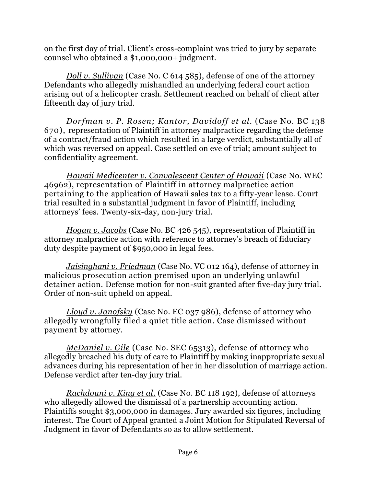on the first day of trial. Client's cross-complaint was tried to jury by separate counsel who obtained a \$1,000,000+ judgment.

*Doll v. Sullivan* (Case No. C 614 585), defense of one of the attorney Defendants who allegedly mishandled an underlying federal court action arising out of a helicopter crash. Settlement reached on behalf of client after fifteenth day of jury trial.

*Dorfman v. P. Rosen; Kantor, Davidoff et al.* (Case No. BC 138 670), representation of Plaintiff in attorney malpractice regarding the defense of a contract/fraud action which resulted in a large verdict, substantially all of which was reversed on appeal. Case settled on eve of trial; amount subject to confidentiality agreement.

*Hawaii Medicenter v. Convalescent Center of Hawaii* (Case No. WEC 46962), representation of Plaintiff in attorney malpractice action pertaining to the application of Hawaii sales tax to a fifty-year lease. Court trial resulted in a substantial judgment in favor of Plaintiff, including attorneys' fees. Twenty-six-day, non-jury trial.

*Hogan v. Jacobs* (Case No. BC 426 545), representation of Plaintiff in attorney malpractice action with reference to attorney's breach of fiduciary duty despite payment of \$950,000 in legal fees.

*Jaisinghani v. Friedman* (Case No. VC 012 164), defense of attorney in malicious prosecution action premised upon an underlying unlawful detainer action. Defense motion for non-suit granted after five-day jury trial. Order of non-suit upheld on appeal.

*Lloyd v. Janofsky* (Case No. EC 037 986), defense of attorney who allegedly wrongfully filed a quiet title action. Case dismissed without payment by attorney.

*McDaniel v. Gile* (Case No. SEC 65313), defense of attorney who allegedly breached his duty of care to Plaintiff by making inappropriate sexual advances during his representation of her in her dissolution of marriage action. Defense verdict after ten-day jury trial.

*Rachdouni v. King et al*. (Case No. BC 118 192), defense of attorneys who allegedly allowed the dismissal of a partnership accounting action. Plaintiffs sought \$3,000,000 in damages. Jury awarded six figures, including interest. The Court of Appeal granted a Joint Motion for Stipulated Reversal of Judgment in favor of Defendants so as to allow settlement.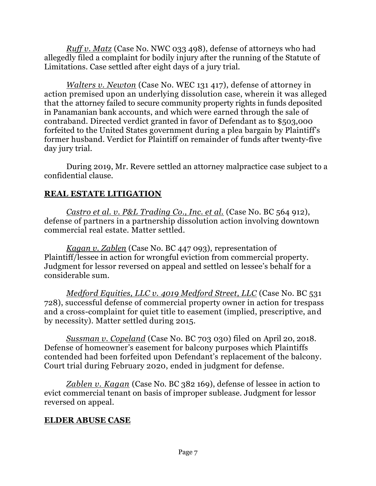*Ruff v. Matz* (Case No. NWC 033 498), defense of attorneys who had allegedly filed a complaint for bodily injury after the running of the Statute of Limitations. Case settled after eight days of a jury trial.

*Walters v. Newton* (Case No. WEC 131 417), defense of attorney in action premised upon an underlying dissolution case, wherein it was alleged that the attorney failed to secure community property rights in funds deposited in Panamanian bank accounts, and which were earned through the sale of contraband. Directed verdict granted in favor of Defendant as to \$503,000 forfeited to the United States government during a plea bargain by Plaintiff's former husband. Verdict for Plaintiff on remainder of funds after twenty-five day jury trial.

During 2019, Mr. Revere settled an attorney malpractice case subject to a confidential clause.

# **REAL ESTATE LITIGATION**

*Castro et al. v. P&L Trading Co., Inc. et al.* (Case No. BC 564 912), defense of partners in a partnership dissolution action involving downtown commercial real estate. Matter settled.

*Kagan v. Zablen* (Case No. BC 447 093), representation of Plaintiff/lessee in action for wrongful eviction from commercial property. Judgment for lessor reversed on appeal and settled on lessee's behalf for a considerable sum.

*Medford Equities, LLC v. 4019 Medford Street, LLC* (Case No. BC 531 728), successful defense of commercial property owner in action for trespass and a cross-complaint for quiet title to easement (implied, prescriptive, and by necessity). Matter settled during 2015.

*Sussman v. Copeland* (Case No. BC 703 030) filed on April 20, 2018. Defense of homeowner's easement for balcony purposes which Plaintiffs contended had been forfeited upon Defendant's replacement of the balcony. Court trial during February 2020, ended in judgment for defense.

*Zablen v. Kagan* (Case No. BC 382 169), defense of lessee in action to evict commercial tenant on basis of improper sublease. Judgment for lessor reversed on appeal.

# **ELDER ABUSE CASE**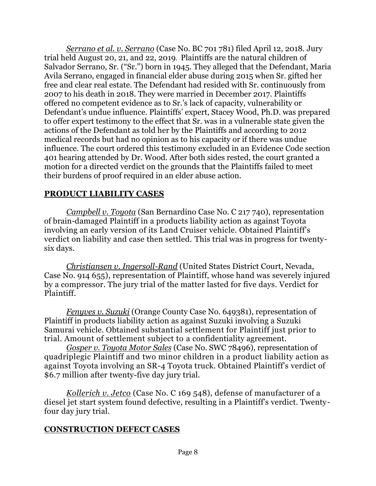*Serrano et al. v. Serrano* (Case No. BC 701 781) filed April 12, 2018. Jury trial held August 20, 21, and 22, 2019. Plaintiffs are the natural children of Salvador Serrano, Sr. ("Sr.") born in 1945. They alleged that the Defendant, Maria Avila Serrano, engaged in financial elder abuse during 2015 when Sr. gifted her free and clear real estate. The Defendant had resided with Sr. continuously from 2007 to his death in 2018. They were married in December 2017. Plaintiffs offered no competent evidence as to Sr.'s lack of capacity, vulnerability or Defendant's undue influence. Plaintiffs' expert, Stacey Wood, Ph.D. was prepared to offer expert testimony to the effect that Sr. was in a vulnerable state given the actions of the Defendant as told her by the Plaintiffs and according to 2012 medical records but had no opinion as to his capacity or if there was undue influence. The court ordered this testimony excluded in an Evidence Code section 401 hearing attended by Dr. Wood. After both sides rested, the court granted a motion for a directed verdict on the grounds that the Plaintiffs failed to meet their burdens of proof required in an elder abuse action.

## **PRODUCT LIABILITY CASES**

*Campbell v. Toyota* (San Bernardino Case No. C 217 740), representation of brain-damaged Plaintiff in a products liability action as against Toyota involving an early version of its Land Cruiser vehicle. Obtained Plaintiff's verdict on liability and case then settled. This trial was in progress for twentysix days.

*Christiansen v. Ingersoll-Rand* (United States District Court, Nevada, Case No. 914 655), representation of Plaintiff, whose hand was severely injured by a compressor. The jury trial of the matter lasted for five days. Verdict for Plaintiff.

*Fenyves v. Suzuki* (Orange County Case No. 649381), representation of Plaintiff in products liability action as against Suzuki involving a Suzuki Samurai vehicle. Obtained substantial settlement for Plaintiff just prior to trial. Amount of settlement subject to a confidentiality agreement.

*Gosper v. Toyota Motor Sales* (Case No. SWC 78496), representation of quadriplegic Plaintiff and two minor children in a product liability action as against Toyota involving an SR-4 Toyota truck. Obtained Plaintiff's verdict of \$6.7 million after twenty-five day jury trial.

*Kollerich v. Jetco* (Case No. C 169 548), defense of manufacturer of a diesel jet start system found defective, resulting in a Plaintiff's verdict. Twentyfour day jury trial.

## **CONSTRUCTION DEFECT CASES**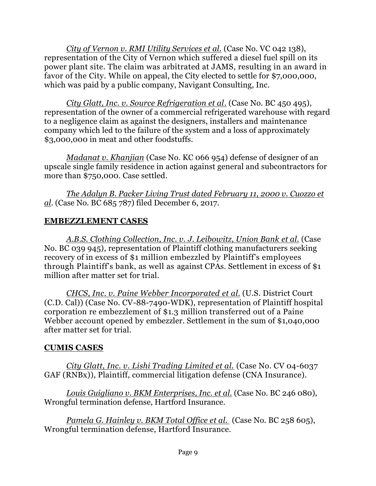*City of Vernon v. RMI Utility Services et al.* (Case No. VC 042 138), representation of the City of Vernon which suffered a diesel fuel spill on its power plant site. The claim was arbitrated at JAMS, resulting in an award in favor of the City. While on appeal, the City elected to settle for \$7,000,000, which was paid by a public company, Navigant Consulting, Inc.

*City Glatt, Inc. v. Source Refrigeration et al*. (Case No. BC 450 495), representation of the owner of a commercial refrigerated warehouse with regard to a negligence claim as against the designers, installers and maintenance company which led to the failure of the system and a loss of approximately \$3,000,000 in meat and other foodstuffs.

*Madanat v. Khanjian* (Case No. KC 066 954) defense of designer of an upscale single family residence in action against general and subcontractors for more than \$750,000. Case settled.

*The Adalyn B. Packer Living Trust dated February 11, 2000 v. Cuozzo et al*. (Case No. BC 685 787) filed December 6, 2017.

## **EMBEZZLEMENT CASES**

*A.B.S. Clothing Collection, Inc. v. J. Leibowitz, Union Bank et al.* (Case No. BC 039 945), representation of Plaintiff clothing manufacturers seeking recovery of in excess of \$1 million embezzled by Plaintiff's employees through Plaintiff's bank, as well as against CPAs. Settlement in excess of \$1 million after matter set for trial.

*CHCS, Inc. v. Paine Webber Incorporated et al.* (U.S. District Court (C.D. Cal)) (Case No. CV-88-7490-WDK), representation of Plaintiff hospital corporation re embezzlement of \$1.3 million transferred out of a Paine Webber account opened by embezzler. Settlement in the sum of \$1,040,000 after matter set for trial.

## **CUMIS CASES**

*City Glatt, Inc. v. Lishi Trading Limited et al.* (Case No. CV 04-6037 GAF (RNBx)), Plaintiff, commercial litigation defense (CNA Insurance).

*Louis Guigliano v. BKM Enterprises, Inc. et al.* (Case No. BC 246 080), Wrongful termination defense, Hartford Insurance.

*Pamela G. Hainley v. BKM Total Office et al.* (Case No. BC 258 605), Wrongful termination defense, Hartford Insurance.